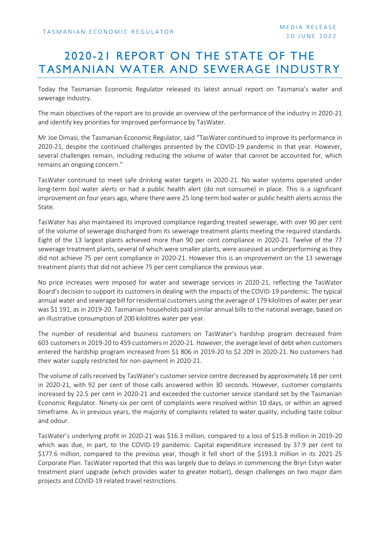## 2020-21 REPORT ON THE STATE OF THE TASMANIAN WATER AND SEWERAGE INDUSTRY

Today the Tasmanian Economic Regulator released its latest annual report on Tasmania's water and sewerage industry.

The main objectives of the report are to provide an overview of the performance of the industry in 2020-21 and identify key priorities for improved performance by TasWater.

Mr Joe Dimasi, the Tasmanian Economic Regulator, said "TasWater continued to improve its performance in 2020-21, despite the continued challenges presented by the COVID-19 pandemic in that year. However, several challenges remain, including reducing the volume of water that cannot be accounted for, which remains an ongoing concern."

TasWater continued to meet safe drinking water targets in 2020-21. No water systems operated under long-term boil water alerts or had a public health alert (do not consume) in place. This is a significant improvement on four years ago, where there were 25 long-term boil water or public health alerts across the State.

TasWater has also maintained its improved compliance regarding treated sewerage, with over 90 per cent of the volume of sewerage discharged from its sewerage treatment plants meeting the required standards. Eight of the 13 largest plants achieved more than 90 per cent compliance in 2020-21. Twelve of the 77 sewerage treatment plants, several of which were smaller plants, were assessed as underperforming as they did not achieve 75 per cent compliance in 2020-21. However this is an improvement on the 13 sewerage treatment plants that did not achieve 75 per cent compliance the previous year.

No price increases were imposed for water and sewerage services in 2020-21, reflecting the TasWater Board's decision to support its customers in dealing with the impacts of the COVID-19 pandemic. The typical annual water and sewerage bill for residential customers using the average of 179 kilolitres of water per year was \$1 191, as in 2019-20. Tasmanian households paid similar annual bills to the national average, based on an illustrative consumption of 200 kilolitres water per year.

The number of residential and business customers on TasWater's hardship program decreased from 603 customers in 2019-20 to 459 customers in 2020-21. However, the average level of debt when customers entered the hardship program increased from \$1 806 in 2019-20 to \$2 209 in 2020-21. No customers had their water supply restricted for non-payment in 2020-21.

The volume of calls received by TasWater's customer service centre decreased by approximately 18 per cent in 2020-21, with 92 per cent of those calls answered within 30 seconds. However, customer complaints increased by 22.5 per cent in 2020-21 and exceeded the customer service standard set by the Tasmanian Economic Regulator. Ninety-six per cent of complaints were resolved within 10 days, or within an agreed timeframe. As in previous years, the majority of complaints related to water quality, including taste colour and odour.

TasWater's underlying profit in 2020-21 was \$16.3 million, compared to a loss of \$15.8 million in 2019-20 which was due, in part, to the COVID-19 pandemic. Capital expenditure increased by 37.9 per cent to \$177.6 million, compared to the previous year, though it fell short of the \$193.3 million in its 2021-25 Corporate Plan. TasWater reported that this was largely due to delays in commencing the Bryn Estyn water treatment plant upgrade (which provides water to greater Hobart), design challenges on two major dam projects and COVID-19 related travel restrictions.